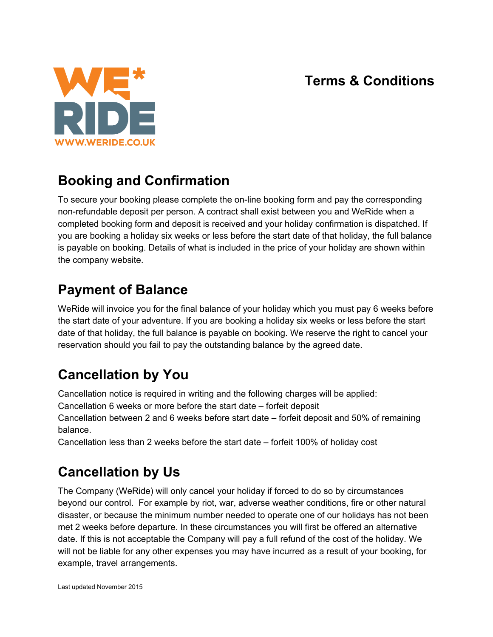#### **Terms & Conditions**



# **Booking and Confirmation**

To secure your booking please complete the on-line booking form and pay the corresponding non-refundable deposit per person. A contract shall exist between you and WeRide when a completed booking form and deposit is received and your holiday confirmation is dispatched. If you are booking a holiday six weeks or less before the start date of that holiday, the full balance is payable on booking. Details of what is included in the price of your holiday are shown within the company website.

## **Payment of Balance**

WeRide will invoice you for the final balance of your holiday which you must pay 6 weeks before the start date of your adventure. If you are booking a holiday six weeks or less before the start date of that holiday, the full balance is payable on booking. We reserve the right to cancel your reservation should you fail to pay the outstanding balance by the agreed date.

# **Cancellation by You**

Cancellation notice is required in writing and the following charges will be applied:

Cancellation 6 weeks or more before the start date – forfeit deposit

Cancellation between 2 and 6 weeks before start date – forfeit deposit and 50% of remaining balance.

Cancellation less than 2 weeks before the start date – forfeit 100% of holiday cost

## **Cancellation by Us**

The Company (WeRide) will only cancel your holiday if forced to do so by circumstances beyond our control. For example by riot, war, adverse weather conditions, fire or other natural disaster, or because the minimum number needed to operate one of our holidays has not been met 2 weeks before departure. In these circumstances you will first be offered an alternative date. If this is not acceptable the Company will pay a full refund of the cost of the holiday. We will not be liable for any other expenses you may have incurred as a result of your booking, for example, travel arrangements.